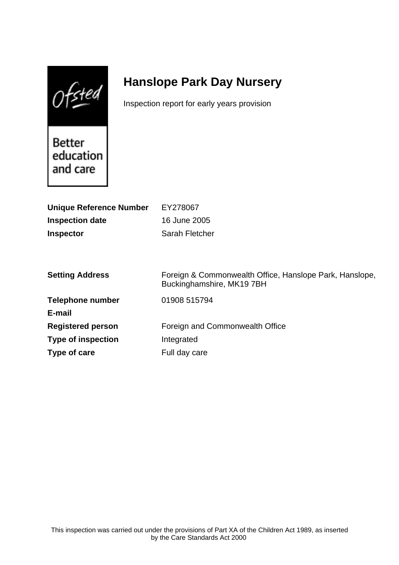$0$ fsted

# **Hanslope Park Day Nursery**

Inspection report for early years provision

Better education and care

| <b>Unique Reference Number</b> | EY278067                                                                            |
|--------------------------------|-------------------------------------------------------------------------------------|
| <b>Inspection date</b>         | 16 June 2005                                                                        |
| <b>Inspector</b>               | Sarah Fletcher                                                                      |
|                                |                                                                                     |
|                                |                                                                                     |
| <b>Setting Address</b>         | Foreign & Commonwealth Office, Hanslope Park, Hanslope,<br>Buckinghamshire, MK197BH |
| <b>Telephone number</b>        | 01908 515794                                                                        |
| E-mail                         |                                                                                     |
| <b>Registered person</b>       | Foreign and Commonwealth Office                                                     |
| <b>Type of inspection</b>      | Integrated                                                                          |
| Type of care                   | Full day care                                                                       |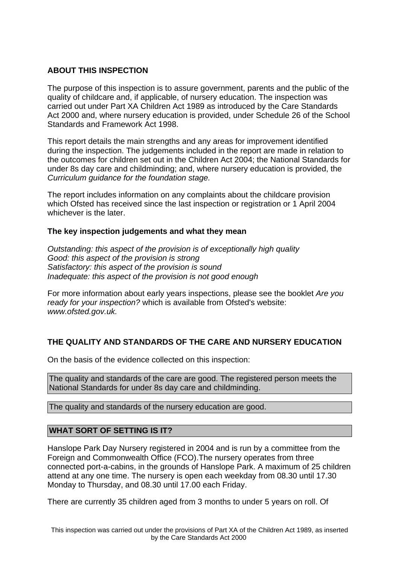# **ABOUT THIS INSPECTION**

The purpose of this inspection is to assure government, parents and the public of the quality of childcare and, if applicable, of nursery education. The inspection was carried out under Part XA Children Act 1989 as introduced by the Care Standards Act 2000 and, where nursery education is provided, under Schedule 26 of the School Standards and Framework Act 1998.

This report details the main strengths and any areas for improvement identified during the inspection. The judgements included in the report are made in relation to the outcomes for children set out in the Children Act 2004; the National Standards for under 8s day care and childminding; and, where nursery education is provided, the Curriculum guidance for the foundation stage.

The report includes information on any complaints about the childcare provision which Ofsted has received since the last inspection or registration or 1 April 2004 whichever is the later.

# **The key inspection judgements and what they mean**

Outstanding: this aspect of the provision is of exceptionally high quality Good: this aspect of the provision is strong Satisfactory: this aspect of the provision is sound Inadequate: this aspect of the provision is not good enough

For more information about early years inspections, please see the booklet Are you ready for your inspection? which is available from Ofsted's website: www.ofsted.gov.uk.

# **THE QUALITY AND STANDARDS OF THE CARE AND NURSERY EDUCATION**

On the basis of the evidence collected on this inspection:

The quality and standards of the care are good. The registered person meets the National Standards for under 8s day care and childminding.

The quality and standards of the nursery education are good.

# **WHAT SORT OF SETTING IS IT?**

Hanslope Park Day Nursery registered in 2004 and is run by a committee from the Foreign and Commonwealth Office (FCO).The nursery operates from three connected port-a-cabins, in the grounds of Hanslope Park. A maximum of 25 children attend at any one time. The nursery is open each weekday from 08.30 until 17.30 Monday to Thursday, and 08.30 until 17.00 each Friday.

There are currently 35 children aged from 3 months to under 5 years on roll. Of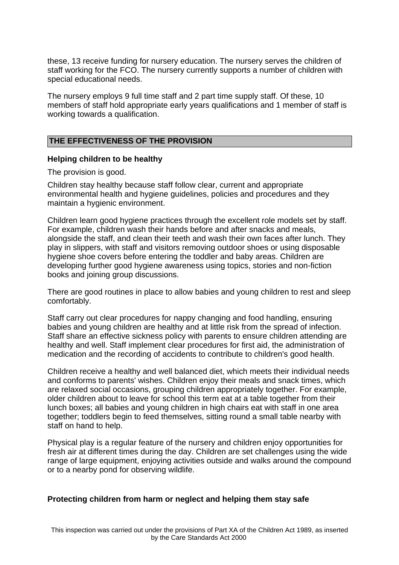these, 13 receive funding for nursery education. The nursery serves the children of staff working for the FCO. The nursery currently supports a number of children with special educational needs.

The nursery employs 9 full time staff and 2 part time supply staff. Of these, 10 members of staff hold appropriate early years qualifications and 1 member of staff is working towards a qualification.

#### **THE EFFECTIVENESS OF THE PROVISION**

#### **Helping children to be healthy**

The provision is good.

Children stay healthy because staff follow clear, current and appropriate environmental health and hygiene guidelines, policies and procedures and they maintain a hygienic environment.

Children learn good hygiene practices through the excellent role models set by staff. For example, children wash their hands before and after snacks and meals, alongside the staff, and clean their teeth and wash their own faces after lunch. They play in slippers, with staff and visitors removing outdoor shoes or using disposable hygiene shoe covers before entering the toddler and baby areas. Children are developing further good hygiene awareness using topics, stories and non-fiction books and joining group discussions.

There are good routines in place to allow babies and young children to rest and sleep comfortably.

Staff carry out clear procedures for nappy changing and food handling, ensuring babies and young children are healthy and at little risk from the spread of infection. Staff share an effective sickness policy with parents to ensure children attending are healthy and well. Staff implement clear procedures for first aid, the administration of medication and the recording of accidents to contribute to children's good health.

Children receive a healthy and well balanced diet, which meets their individual needs and conforms to parents' wishes. Children enjoy their meals and snack times, which are relaxed social occasions, grouping children appropriately together. For example, older children about to leave for school this term eat at a table together from their lunch boxes; all babies and young children in high chairs eat with staff in one area together; toddlers begin to feed themselves, sitting round a small table nearby with staff on hand to help.

Physical play is a regular feature of the nursery and children enjoy opportunities for fresh air at different times during the day. Children are set challenges using the wide range of large equipment, enjoying activities outside and walks around the compound or to a nearby pond for observing wildlife.

#### **Protecting children from harm or neglect and helping them stay safe**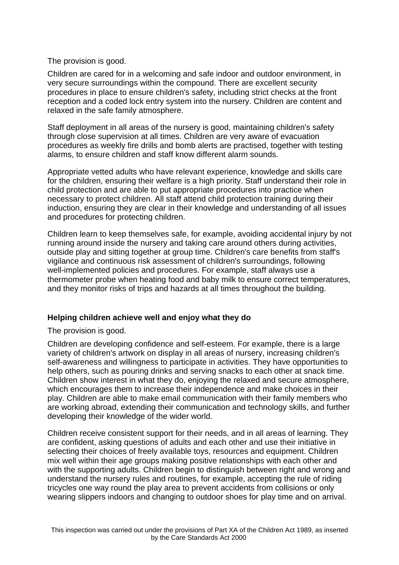# The provision is good.

Children are cared for in a welcoming and safe indoor and outdoor environment, in very secure surroundings within the compound. There are excellent security procedures in place to ensure children's safety, including strict checks at the front reception and a coded lock entry system into the nursery. Children are content and relaxed in the safe family atmosphere.

Staff deployment in all areas of the nursery is good, maintaining children's safety through close supervision at all times. Children are very aware of evacuation procedures as weekly fire drills and bomb alerts are practised, together with testing alarms, to ensure children and staff know different alarm sounds.

Appropriate vetted adults who have relevant experience, knowledge and skills care for the children, ensuring their welfare is a high priority. Staff understand their role in child protection and are able to put appropriate procedures into practice when necessary to protect children. All staff attend child protection training during their induction, ensuring they are clear in their knowledge and understanding of all issues and procedures for protecting children.

Children learn to keep themselves safe, for example, avoiding accidental injury by not running around inside the nursery and taking care around others during activities, outside play and sitting together at group time. Children's care benefits from staff's vigilance and continuous risk assessment of children's surroundings, following well-implemented policies and procedures. For example, staff always use a thermometer probe when heating food and baby milk to ensure correct temperatures, and they monitor risks of trips and hazards at all times throughout the building.

# **Helping children achieve well and enjoy what they do**

The provision is good.

Children are developing confidence and self-esteem. For example, there is a large variety of children's artwork on display in all areas of nursery, increasing children's self-awareness and willingness to participate in activities. They have opportunities to help others, such as pouring drinks and serving snacks to each other at snack time. Children show interest in what they do, enjoying the relaxed and secure atmosphere, which encourages them to increase their independence and make choices in their play. Children are able to make email communication with their family members who are working abroad, extending their communication and technology skills, and further developing their knowledge of the wider world.

Children receive consistent support for their needs, and in all areas of learning. They are confident, asking questions of adults and each other and use their initiative in selecting their choices of freely available toys, resources and equipment. Children mix well within their age groups making positive relationships with each other and with the supporting adults. Children begin to distinguish between right and wrong and understand the nursery rules and routines, for example, accepting the rule of riding tricycles one way round the play area to prevent accidents from collisions or only wearing slippers indoors and changing to outdoor shoes for play time and on arrival.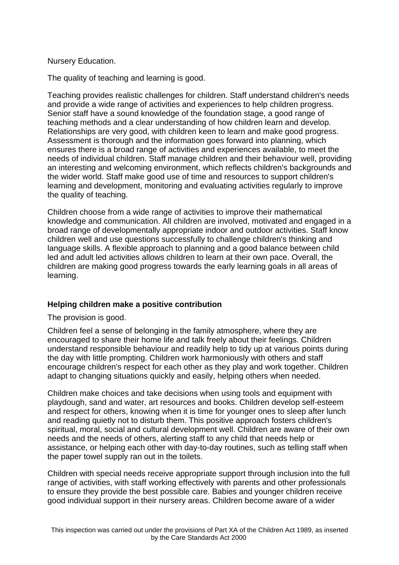# Nursery Education.

The quality of teaching and learning is good.

Teaching provides realistic challenges for children. Staff understand children's needs and provide a wide range of activities and experiences to help children progress. Senior staff have a sound knowledge of the foundation stage, a good range of teaching methods and a clear understanding of how children learn and develop. Relationships are very good, with children keen to learn and make good progress. Assessment is thorough and the information goes forward into planning, which ensures there is a broad range of activities and experiences available, to meet the needs of individual children. Staff manage children and their behaviour well, providing an interesting and welcoming environment, which reflects children's backgrounds and the wider world. Staff make good use of time and resources to support children's learning and development, monitoring and evaluating activities regularly to improve the quality of teaching.

Children choose from a wide range of activities to improve their mathematical knowledge and communication. All children are involved, motivated and engaged in a broad range of developmentally appropriate indoor and outdoor activities. Staff know children well and use questions successfully to challenge children's thinking and language skills. A flexible approach to planning and a good balance between child led and adult led activities allows children to learn at their own pace. Overall, the children are making good progress towards the early learning goals in all areas of learning.

# **Helping children make a positive contribution**

The provision is good.

Children feel a sense of belonging in the family atmosphere, where they are encouraged to share their home life and talk freely about their feelings. Children understand responsible behaviour and readily help to tidy up at various points during the day with little prompting. Children work harmoniously with others and staff encourage children's respect for each other as they play and work together. Children adapt to changing situations quickly and easily, helping others when needed.

Children make choices and take decisions when using tools and equipment with playdough, sand and water, art resources and books. Children develop self-esteem and respect for others, knowing when it is time for younger ones to sleep after lunch and reading quietly not to disturb them. This positive approach fosters children's spiritual, moral, social and cultural development well. Children are aware of their own needs and the needs of others, alerting staff to any child that needs help or assistance, or helping each other with day-to-day routines, such as telling staff when the paper towel supply ran out in the toilets.

Children with special needs receive appropriate support through inclusion into the full range of activities, with staff working effectively with parents and other professionals to ensure they provide the best possible care. Babies and younger children receive good individual support in their nursery areas. Children become aware of a wider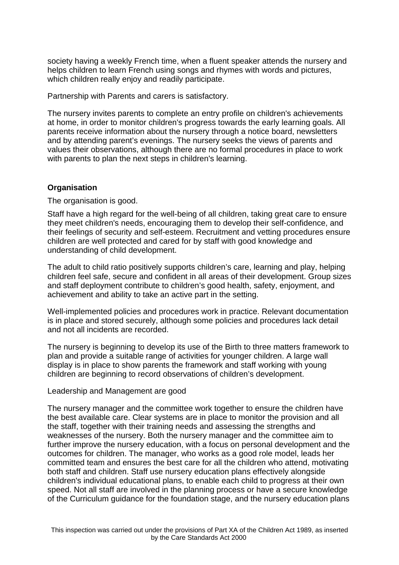society having a weekly French time, when a fluent speaker attends the nursery and helps children to learn French using songs and rhymes with words and pictures, which children really enjoy and readily participate.

Partnership with Parents and carers is satisfactory.

The nursery invites parents to complete an entry profile on children's achievements at home, in order to monitor children's progress towards the early learning goals. All parents receive information about the nursery through a notice board, newsletters and by attending parent's evenings. The nursery seeks the views of parents and values their observations, although there are no formal procedures in place to work with parents to plan the next steps in children's learning.

# **Organisation**

The organisation is good.

Staff have a high regard for the well-being of all children, taking great care to ensure they meet children's needs, encouraging them to develop their self-confidence, and their feelings of security and self-esteem. Recruitment and vetting procedures ensure children are well protected and cared for by staff with good knowledge and understanding of child development.

The adult to child ratio positively supports children's care, learning and play, helping children feel safe, secure and confident in all areas of their development. Group sizes and staff deployment contribute to children's good health, safety, enjoyment, and achievement and ability to take an active part in the setting.

Well-implemented policies and procedures work in practice. Relevant documentation is in place and stored securely, although some policies and procedures lack detail and not all incidents are recorded.

The nursery is beginning to develop its use of the Birth to three matters framework to plan and provide a suitable range of activities for younger children. A large wall display is in place to show parents the framework and staff working with young children are beginning to record observations of children's development.

Leadership and Management are good

The nursery manager and the committee work together to ensure the children have the best available care. Clear systems are in place to monitor the provision and all the staff, together with their training needs and assessing the strengths and weaknesses of the nursery. Both the nursery manager and the committee aim to further improve the nursery education, with a focus on personal development and the outcomes for children. The manager, who works as a good role model, leads her committed team and ensures the best care for all the children who attend, motivating both staff and children. Staff use nursery education plans effectively alongside children's individual educational plans, to enable each child to progress at their own speed. Not all staff are involved in the planning process or have a secure knowledge of the Curriculum guidance for the foundation stage, and the nursery education plans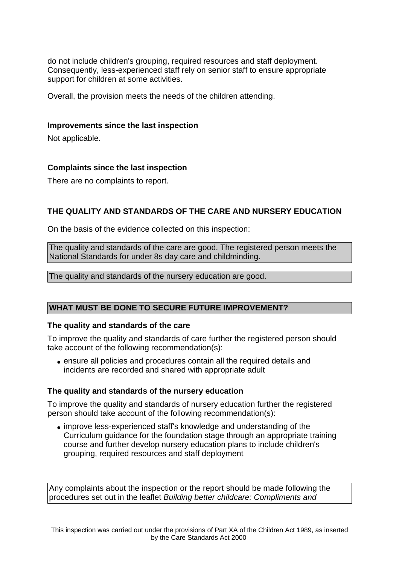do not include children's grouping, required resources and staff deployment. Consequently, less-experienced staff rely on senior staff to ensure appropriate support for children at some activities.

Overall, the provision meets the needs of the children attending.

#### **Improvements since the last inspection**

Not applicable.

# **Complaints since the last inspection**

There are no complaints to report.

# **THE QUALITY AND STANDARDS OF THE CARE AND NURSERY EDUCATION**

On the basis of the evidence collected on this inspection:

The quality and standards of the care are good. The registered person meets the National Standards for under 8s day care and childminding.

The quality and standards of the nursery education are good.

# **WHAT MUST BE DONE TO SECURE FUTURE IMPROVEMENT?**

# **The quality and standards of the care**

To improve the quality and standards of care further the registered person should take account of the following recommendation(s):

• ensure all policies and procedures contain all the required details and incidents are recorded and shared with appropriate adult

# **The quality and standards of the nursery education**

To improve the quality and standards of nursery education further the registered person should take account of the following recommendation(s):

• improve less-experienced staff's knowledge and understanding of the Curriculum guidance for the foundation stage through an appropriate training course and further develop nursery education plans to include children's grouping, required resources and staff deployment

Any complaints about the inspection or the report should be made following the procedures set out in the leaflet Building better childcare: Compliments and